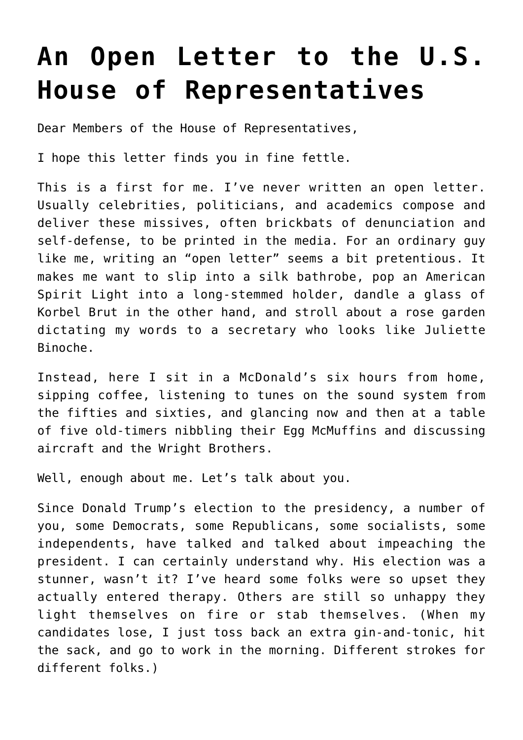## **[An Open Letter to the U.S.](https://intellectualtakeout.org/2019/06/an-open-letter-to-the-u-s-house-of-representatives/) [House of Representatives](https://intellectualtakeout.org/2019/06/an-open-letter-to-the-u-s-house-of-representatives/)**

Dear Members of the House of Representatives,

I hope this letter finds you in fine fettle.

This is a first for me. I've never written an open letter. Usually celebrities, politicians, and academics compose and deliver these missives, often brickbats of denunciation and self-defense, to be printed in the media. For an ordinary guy like me, writing an "open letter" seems a bit pretentious. It makes me want to slip into a silk bathrobe, pop an American Spirit Light into a long-stemmed holder, dandle a glass of Korbel Brut in the other hand, and stroll about a rose garden dictating my words to a secretary who looks like Juliette Binoche.

Instead, here I sit in a McDonald's six hours from home, sipping coffee, listening to tunes on the sound system from the fifties and sixties, and glancing now and then at a table of five old-timers nibbling their Egg McMuffins and discussing aircraft and the Wright Brothers.

Well, enough about me. Let's talk about you.

Since Donald Trump's election to the presidency, a number of you, some Democrats, some Republicans, some socialists, some independents, have talked and talked about impeaching the president. I can certainly understand why. His election was a stunner, wasn't it? I've heard some folks were so upset they actually entered therapy. Others are still so unhappy they light themselves on fire or stab themselves. (When my candidates lose, I just toss back an extra gin-and-tonic, hit the sack, and go to work in the morning. Different strokes for different folks.)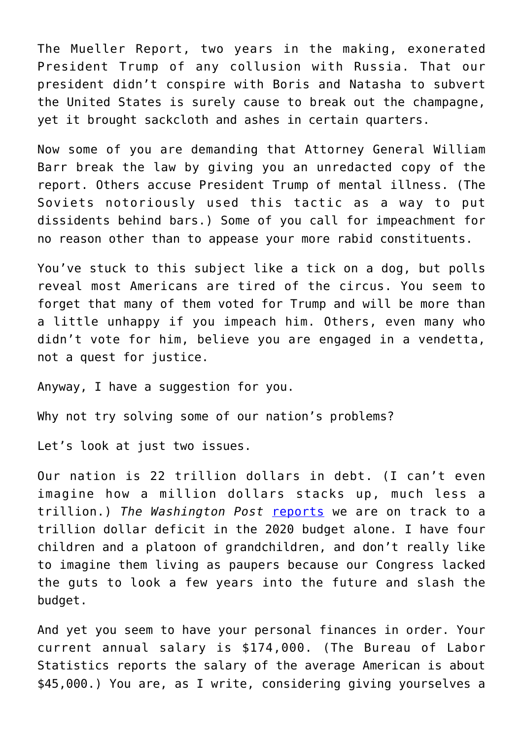The Mueller Report, two years in the making, exonerated President Trump of any collusion with Russia. That our president didn't conspire with Boris and Natasha to subvert the United States is surely cause to break out the champagne, yet it brought sackcloth and ashes in certain quarters.

Now some of you are demanding that Attorney General William Barr break the law by giving you an unredacted copy of the report. Others accuse President Trump of mental illness. (The Soviets notoriously used this tactic as a way to put dissidents behind bars.) Some of you call for impeachment for no reason other than to appease your more rabid constituents.

You've stuck to this subject like a tick on a dog, but polls reveal most Americans are tired of the circus. You seem to forget that many of them voted for Trump and will be more than a little unhappy if you impeach him. Others, even many who didn't vote for him, believe you are engaged in a vendetta, not a quest for justice.

Anyway, I have a suggestion for you.

Why not try solving some of our nation's problems?

Let's look at just two issues.

Our nation is 22 trillion dollars in debt. (I can't even imagine how a million dollars stacks up, much less a trillion.) *The Washington Post* [reports](https://www.washingtonpost.com/business/2019/03/11/trumps-budget-top-takeaways/?utm_term=.3edf54c9b31a) we are on track to a trillion dollar deficit in the 2020 budget alone. I have four children and a platoon of grandchildren, and don't really like to imagine them living as paupers because our Congress lacked the guts to look a few years into the future and slash the budget.

And yet you seem to have your personal finances in order. Your current annual salary is \$174,000. (The Bureau of Labor Statistics reports the salary of the average American is about \$45,000.) You are, as I write, considering giving yourselves a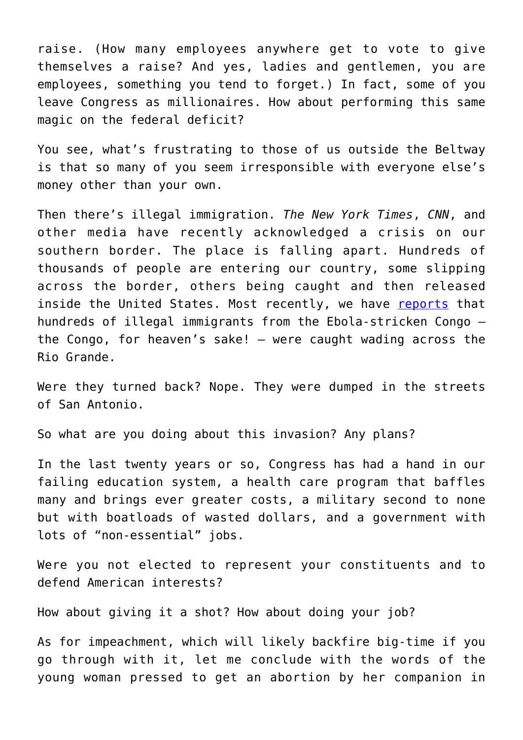raise. (How many employees anywhere get to vote to give themselves a raise? And yes, ladies and gentlemen, you are employees, something you tend to forget.) In fact, some of you leave Congress as millionaires. How about performing this same magic on the federal deficit?

You see, what's frustrating to those of us outside the Beltway is that so many of you seem irresponsible with everyone else's money other than your own.

Then there's illegal immigration. *The New York Times*, *CNN*, and other media have recently acknowledged a crisis on our southern border. The place is falling apart. Hundreds of thousands of people are entering our country, some slipping across the border, others being caught and then released inside the United States. Most recently, we have [reports](https://www.thegatewaypundit.com/2019/06/hundreds-of-illegal-aliens-from-ebola-stricken-congo-dumped-in-the-streets-of-san-antonio/) that hundreds of illegal immigrants from the Ebola-stricken Congo – the Congo, for heaven's sake! – were caught wading across the Rio Grande.

Were they turned back? Nope. They were dumped in the streets of San Antonio.

So what are you doing about this invasion? Any plans?

In the last twenty years or so, Congress has had a hand in our failing education system, a health care program that baffles many and brings ever greater costs, a military second to none but with boatloads of wasted dollars, and a government with lots of "non-essential" jobs.

Were you not elected to represent your constituents and to defend American interests?

How about giving it a shot? How about doing your job?

As for impeachment, which will likely backfire big-time if you go through with it, let me conclude with the words of the young woman pressed to get an abortion by her companion in